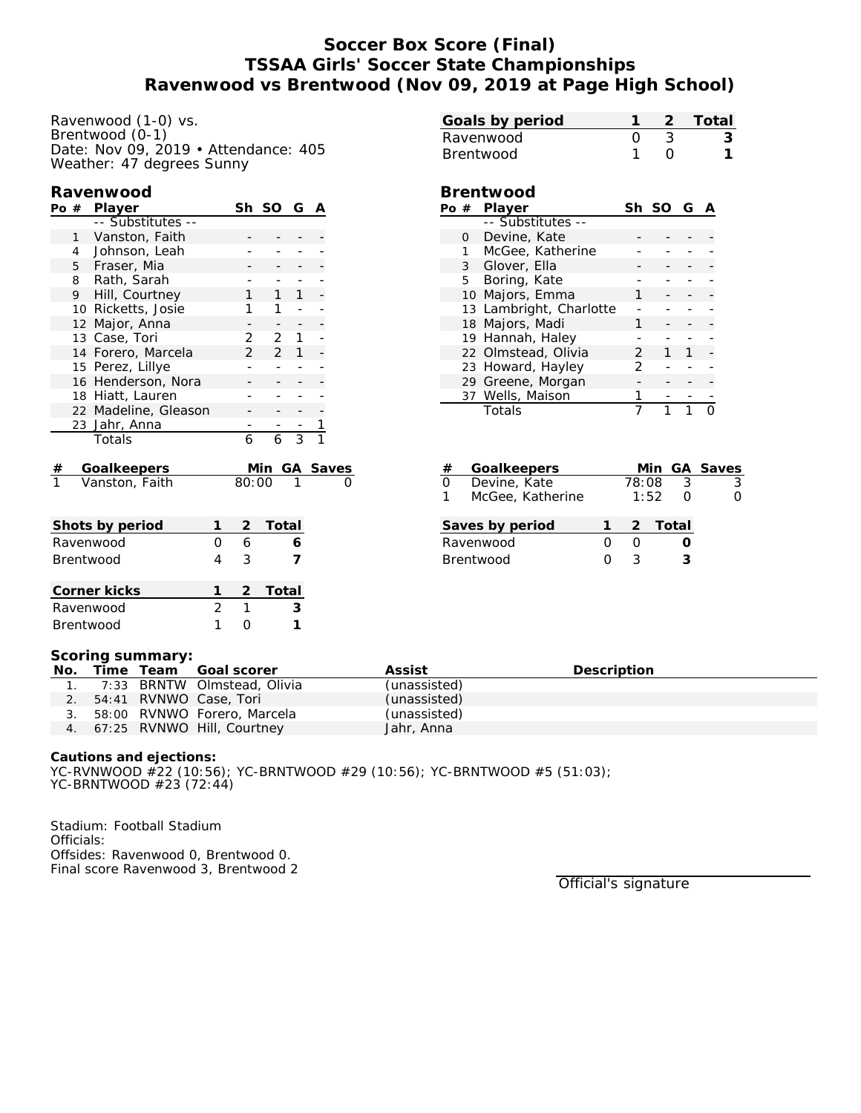## **Soccer Box Score (Final) TSSAA Girls' Soccer State Championships Ravenwood vs Brentwood (Nov 09, 2019 at Page High School)**

Ravenwood (1-0) vs. Brentwood (0-1) Date: Nov 09, 2019 • Attendance: 405 Weather: 47 degrees Sunny

### **Ravenwood**

| Po #            |              | Player               |  | Sh             | SO G           |              | A |          |
|-----------------|--------------|----------------------|--|----------------|----------------|--------------|---|----------|
|                 |              | -- Substitutes --    |  |                |                |              |   |          |
|                 | $\mathbf{1}$ | Vanston, Faith       |  |                |                |              |   |          |
|                 | 4            | Johnson, Leah        |  |                |                |              |   |          |
|                 |              | 5 Fraser, Mia        |  |                |                |              |   |          |
|                 | 8            | Rath, Sarah          |  |                |                |              |   |          |
|                 | 9            | Hill, Courtney       |  | 1              | $\mathbf{1}$   | $\mathbf{1}$ |   |          |
|                 |              | 10 Ricketts, Josie   |  |                | 1              |              |   |          |
|                 | 12           | Major, Anna          |  |                |                |              |   |          |
|                 |              | 13 Case, Tori        |  | 2              | 2              | 1            |   |          |
|                 |              | 14 Forero, Marcela   |  | $\overline{2}$ | $\overline{2}$ | $\mathbf{1}$ |   |          |
|                 |              | 15 Perez, Lillye     |  |                |                |              |   |          |
|                 |              | 16 Henderson, Nora   |  |                |                |              |   |          |
|                 |              | 18 Hiatt, Lauren     |  |                |                |              |   |          |
|                 |              | 22 Madeline, Gleason |  |                |                |              |   |          |
|                 |              | 23 Jahr, Anna        |  |                |                |              |   |          |
|                 |              | Totals               |  | 6              | 6              | 3            |   |          |
|                 |              |                      |  |                |                |              |   |          |
| #               |              | Goalkeepers          |  |                | Min            |              |   | GA Saves |
|                 |              | Vanston, Faith       |  | 80:00          |                |              |   | Ω        |
|                 |              |                      |  |                |                |              |   |          |
|                 |              |                      |  |                |                |              |   |          |
| Shots by period |              |                      |  |                | Total          |              |   |          |
| 0<br>Ravenwood  |              |                      |  | 6              |                | 6            |   |          |

| Corner kicks     |  | 2 Total |
|------------------|--|---------|
| Ravenwood        |  |         |
| <b>Brentwood</b> |  |         |

Brentwood 4 3 **7**

| Ravenwood        |              |                           |   | 3       |               |   | 3 |
|------------------|--------------|---------------------------|---|---------|---------------|---|---|
| <b>Brentwood</b> |              |                           |   |         |               |   |   |
|                  |              |                           |   |         |               |   |   |
|                  |              | Brentwood                 |   |         |               |   |   |
|                  |              | Po # Player               |   | Sh SO G |               | A |   |
|                  |              |                           |   |         |               |   |   |
|                  |              | -- Substitutes --         |   |         |               |   |   |
|                  | 0            | Devine, Kate              |   |         |               |   |   |
|                  | $\mathbf{1}$ | McGee, Katherine          |   |         |               |   |   |
|                  |              | 3 Glover, Ella            |   |         |               |   |   |
|                  | 5            | Boring, Kate              |   |         |               |   |   |
|                  | 10           | Majors, Emma              | 1 |         |               |   |   |
|                  |              | 13 Lambright, Charlotte   |   |         |               |   |   |
|                  | 18           | Majors, Madi              | 1 |         |               |   |   |
|                  | 19           | Hannah, Haley             |   |         |               |   |   |
|                  |              | 22 Olmstead, Olivia       | 2 | 1       | 1             |   |   |
|                  |              | 23 Howard, Hayley         | 2 |         |               |   |   |
|                  |              | 29 Greene, Morgan         |   |         |               |   |   |
|                  |              | 37 Wells, Maison          |   |         |               |   |   |
|                  |              | Totals                    |   | 1       | 1             |   |   |
|                  |              |                           |   |         |               |   |   |
|                  |              |                           |   |         |               |   |   |
|                  |              |                           |   |         |               |   |   |
| $^{\prime}$      |              | $\sim$ - - $\sim$ - - - - |   | n л !   | $\sim$ $\sim$ |   |   |

**Goals by period 1 2 Total**

|                  | #        | Goalkeepers      |  |       |         | Min GA Saves |
|------------------|----------|------------------|--|-------|---------|--------------|
|                  | $\Omega$ | Devine, Kate     |  | 78:08 |         |              |
|                  |          | McGee, Katherine |  | 1:52  |         |              |
|                  |          |                  |  |       |         |              |
|                  |          | Saves by period  |  |       | 2 Total |              |
| Ravenwood        |          |                  |  |       |         |              |
| <b>Brentwood</b> |          |                  |  |       |         |              |

#### **Scoring summary:**

| No. |  | Time Team Goal scorer          | Assist       | Description |
|-----|--|--------------------------------|--------------|-------------|
|     |  | 1. 7:33 BRNTW Olmstead, Olivia | (unassisted) |             |
|     |  | 2. 54:41 RVNWO Case, Tori      | (unassisted) |             |
|     |  | 3. 58:00 RVNWO Forero, Marcela | (unassisted) |             |
|     |  | 4. 67:25 RVNWO Hill, Courtney  | Jahr, Anna   |             |

**Cautions and ejections:** YC-RVNWOOD #22 (10:56); YC-BRNTWOOD #29 (10:56); YC-BRNTWOOD #5 (51:03); YC-BRNTWOOD #23 (72:44)

Stadium: Football Stadium Officials: Offsides: Ravenwood 0, Brentwood 0. Final score Ravenwood 3, Brentwood 2

Official's signature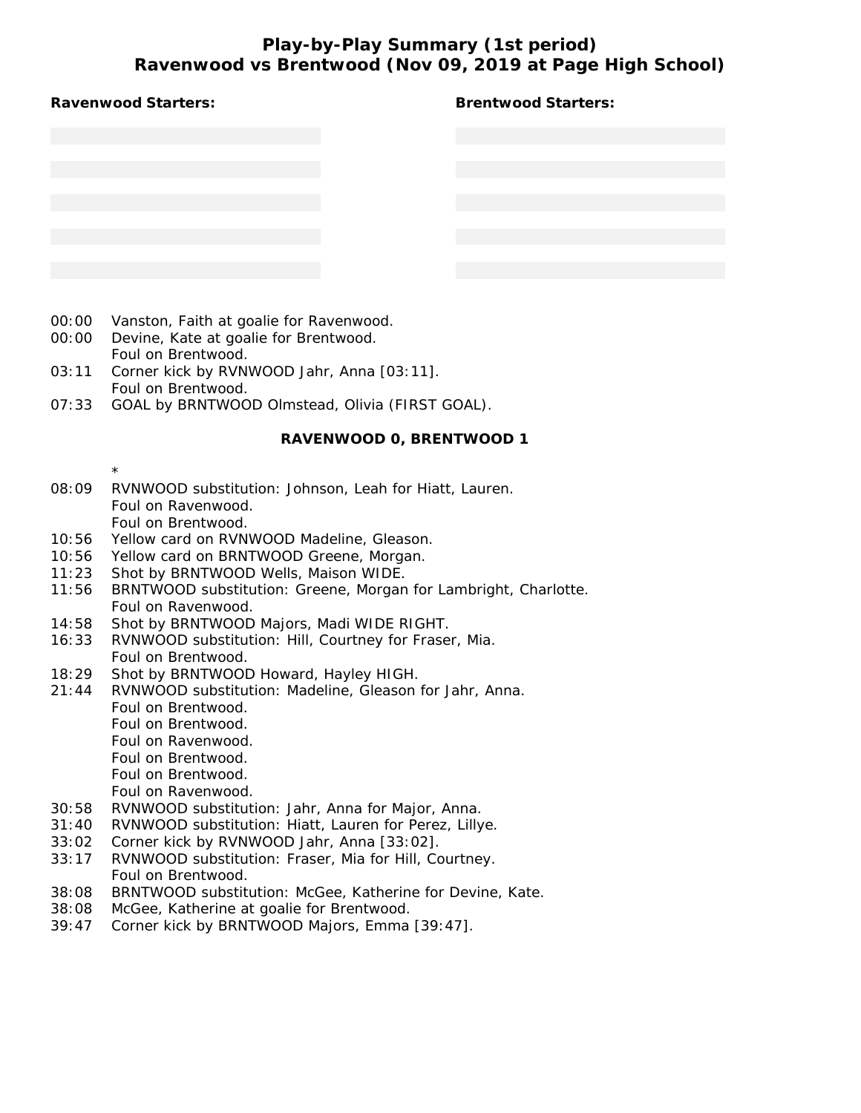# **Play-by-Play Summary (1st period) Ravenwood vs Brentwood (Nov 09, 2019 at Page High School)**

|                | Ravenwood vs Brentwood (Nov 09, 2019 at Page High School)                                               |                            |
|----------------|---------------------------------------------------------------------------------------------------------|----------------------------|
|                | Ravenwood Starters:                                                                                     | <b>Brentwood Starters:</b> |
|                |                                                                                                         |                            |
|                |                                                                                                         |                            |
|                |                                                                                                         |                            |
|                |                                                                                                         |                            |
|                |                                                                                                         |                            |
|                |                                                                                                         |                            |
|                |                                                                                                         |                            |
|                |                                                                                                         |                            |
| 00:00          | Vanston, Faith at goalie for Ravenwood.                                                                 |                            |
| 00:00          | Devine, Kate at goalie for Brentwood.                                                                   |                            |
| 03:11          | Foul on Brentwood.<br>Corner kick by RVNWOOD Jahr, Anna [03:11].                                        |                            |
|                | Foul on Brentwood.                                                                                      |                            |
| 07:33          | GOAL by BRNTWOOD Olmstead, Olivia (FIRST GOAL).                                                         |                            |
|                | RAVENWOOD 0, BRENTWOOD 1                                                                                |                            |
|                | $^\star$                                                                                                |                            |
| 08:09          | RVNWOOD substitution: Johnson, Leah for Hiatt, Lauren.                                                  |                            |
|                | Foul on Ravenwood.<br>Foul on Brentwood.                                                                |                            |
| 10:56          | Yellow card on RVNWOOD Madeline, Gleason.                                                               |                            |
| 10:56          | Yellow card on BRNTWOOD Greene, Morgan.                                                                 |                            |
| 11:23<br>11:56 | Shot by BRNTWOOD Wells, Maison WIDE.<br>BRNTWOOD substitution: Greene, Morgan for Lambright, Charlotte. |                            |
|                | Foul on Ravenwood.                                                                                      |                            |
| 14:58          | Shot by BRNTWOOD Majors, Madi WIDE RIGHT.                                                               |                            |
| 16:33          | RVNWOOD substitution: Hill, Courtney for Fraser, Mia.<br>Foul on Brentwood.                             |                            |
| 18:29          | Shot by BRNTWOOD Howard, Hayley HIGH.                                                                   |                            |
| 21:44          | RVNWOOD substitution: Madeline, Gleason for Jahr, Anna.                                                 |                            |
|                | Foul on Brentwood.                                                                                      |                            |

- Foul on Brentwood.
- Foul on Ravenwood.
- Foul on Brentwood.
- Foul on Brentwood.
- Foul on Ravenwood.
- 30:58 RVNWOOD substitution: Jahr, Anna for Major, Anna.
- 31:40 RVNWOOD substitution: Hiatt, Lauren for Perez, Lillye.
- 33:02 Corner kick by RVNWOOD Jahr, Anna [33:02].
- 33:17 RVNWOOD substitution: Fraser, Mia for Hill, Courtney. Foul on Brentwood.
- 38:08 BRNTWOOD substitution: McGee, Katherine for Devine, Kate.
- 38:08 McGee, Katherine at goalie for Brentwood.
- 39:47 Corner kick by BRNTWOOD Majors, Emma [39:47].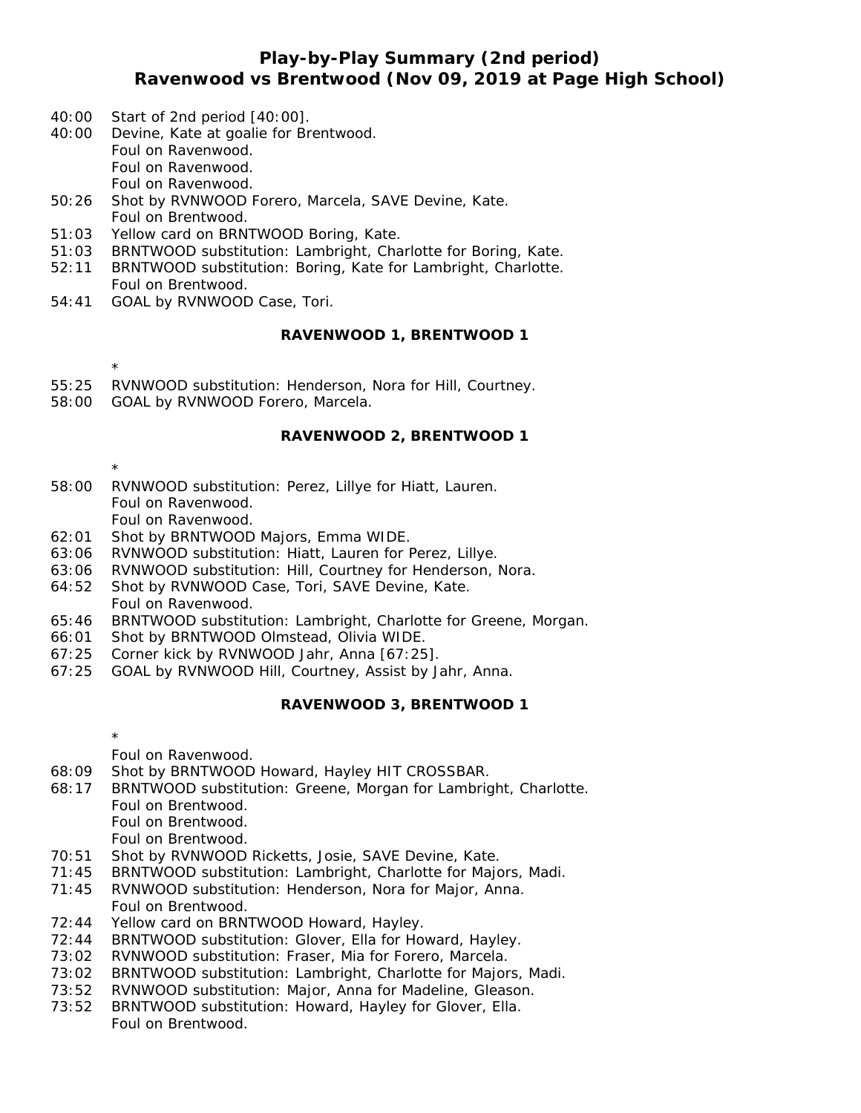## **Play-by-Play Summary (2nd period) Ravenwood vs Brentwood (Nov 09, 2019 at Page High School)**

- 40:00 Start of 2nd period [40:00].
- 40:00 Devine, Kate at goalie for Brentwood. Foul on Ravenwood. Foul on Ravenwood. Foul on Ravenwood.
- 50:26 Shot by RVNWOOD Forero, Marcela, SAVE Devine, Kate. Foul on Brentwood.
- 51:03 Yellow card on BRNTWOOD Boring, Kate.
- 51:03 BRNTWOOD substitution: Lambright, Charlotte for Boring, Kate.
- 52:11 BRNTWOOD substitution: Boring, Kate for Lambright, Charlotte. Foul on Brentwood.
- 54:41 GOAL by RVNWOOD Case, Tori.

#### **RAVENWOOD 1, BRENTWOOD 1**

- \* 55:25 RVNWOOD substitution: Henderson, Nora for Hill, Courtney.
- 58:00 GOAL by RVNWOOD Forero, Marcela.

#### **RAVENWOOD 2, BRENTWOOD 1**

\*

- 58:00 RVNWOOD substitution: Perez, Lillye for Hiatt, Lauren. Foul on Ravenwood. Foul on Ravenwood.
- 62:01 Shot by BRNTWOOD Majors, Emma WIDE.
- 63:06 RVNWOOD substitution: Hiatt, Lauren for Perez, Lillye.
- 63:06 RVNWOOD substitution: Hill, Courtney for Henderson, Nora.
- 64:52 Shot by RVNWOOD Case, Tori, SAVE Devine, Kate. Foul on Ravenwood.
- 65:46 BRNTWOOD substitution: Lambright, Charlotte for Greene, Morgan.
- 66:01 Shot by BRNTWOOD Olmstead, Olivia WIDE.
- 67:25 Corner kick by RVNWOOD Jahr, Anna [67:25].
- 67:25 GOAL by RVNWOOD Hill, Courtney, Assist by Jahr, Anna.

#### **RAVENWOOD 3, BRENTWOOD 1**

\* Foul on Ravenwood.

- 68:09 Shot by BRNTWOOD Howard, Hayley HIT CROSSBAR.
- 68:17 BRNTWOOD substitution: Greene, Morgan for Lambright, Charlotte. Foul on Brentwood. Foul on Brentwood.
	- Foul on Brentwood.
- 70:51 Shot by RVNWOOD Ricketts, Josie, SAVE Devine, Kate.
- 71:45 BRNTWOOD substitution: Lambright, Charlotte for Majors, Madi.
- 71:45 RVNWOOD substitution: Henderson, Nora for Major, Anna. Foul on Brentwood.
- 72:44 Yellow card on BRNTWOOD Howard, Hayley.
- 72:44 BRNTWOOD substitution: Glover, Ella for Howard, Hayley.
- 73:02 RVNWOOD substitution: Fraser, Mia for Forero, Marcela.
- 73:02 BRNTWOOD substitution: Lambright, Charlotte for Majors, Madi.
- 73:52 RVNWOOD substitution: Major, Anna for Madeline, Gleason.
- 73:52 BRNTWOOD substitution: Howard, Hayley for Glover, Ella. Foul on Brentwood.